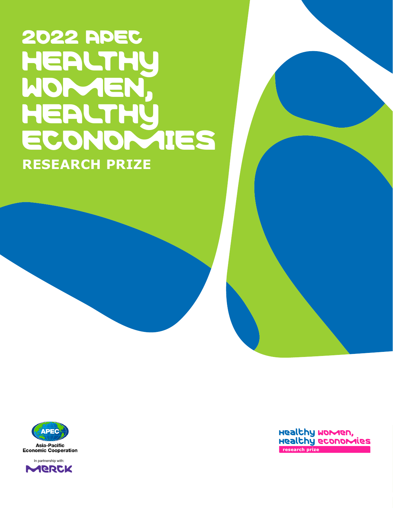# 2022 APEC **HEALTHY** WOMEN, HEALTHy ECONOMIES **RESEARCH PRIZE**





Healthy women, Healthy economies research prize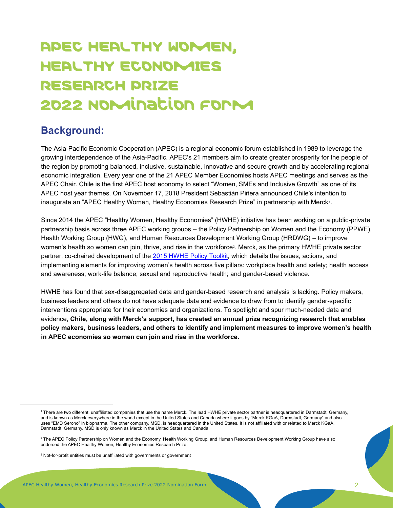## HEALTHY ECONOMIES RESEARCH PRIZE 202**2** Nomination Form 2022 Nomination Form APEC HEALTHY WOMEN,

## **Background:**

The Asia-Pacific Economic Cooperation (APEC) is a regional economic forum established in 1989 to leverage the growing interdependence of the Asia-Pacific. APEC's 21 members aim to create greater prosperity for the people of the region by promoting balanced, inclusive, sustainable, innovative and secure growth and by accelerating regional economic integration. Every year one of the 21 APEC Member Economies hosts APEC meetings and serves as the APEC Chair. Chile is the first APEC host economy to select "Women, SMEs and Inclusive Growth" as one of its APEC host year themes. On November 17, 2018 President Sebastián Piñera announced Chile's intention to inaugurate an "APEC Healthy Women, Healthy Economies Research Prize" in partnership with Merck !.

Since 2014 the APEC "Healthy Women, Healthy Economies" (HWHE) initiative has been working on a public-private partnership basis across three APEC working groups – the Policy Partnership on Women and the Economy (PPWE), Health Working Group (HWG), and Human Resources Development Working Group (HRDWG) – to improve women's health so women can join, thrive, and rise in the workforce². Merck, as the primary HWHE private sector partner, co-chaired development of the 2015 HWHE Policy Toolkit*,* which details the issues, actions, and implementing elements for improving women's health across five pillars: workplace health and safety; health access and awareness; work-life balance; sexual and reproductive health; and gender-based violence.

HWHE has found that sex-disaggregated data and gender-based research and analysis is lacking. Policy makers, business leaders and others do not have adequate data and evidence to draw from to identify gender-specific interventions appropriate for their economies and organizations. To spotlight and spur much-needed data and evidence, **Chile, along with Merck's support, has created an annual prize recognizing research that enables policy makers, business leaders, and others to identify and implement measures to improve women's health in APEC economies so women can join and rise in the workforce.**

9 Note that while all contributors might be recognized, only the individual nominated will be eligible to present in Malaysia and win the prize money.

 $A = \{A, B, C, \ldots, A\}$  women, Healthy Economies Research Prize 2020 Nomination  $A$ 

uses "EMD Serono" in biopharma. The other company, MSD, is headquartered in the United States. It is not affiliated with or related to Merck KGaA, Darmstadt, Germany. MSD is only known as Merck in the United States and Canada. 1 There are two different, unaffiliated companies that use the name Merck. The lead HWHE private sector partner is headquartered in Darmstadt, Germany, and is known as Merck everywhere in the world except in the United States and Canada where it goes by "Merck KGaA, Darmstadt, Germany" and also

<sup>&</sup>lt;sup>2</sup> The APEC Policy Partnership on Women and the Economy, Health Working Group, and Human Resources Development Working Group have also 1 The APEC Policy Partnership on Women and the Economy, Health Working Group, and Human Resources Development Working Group have also and the Economy, Health Process and Directors and the endorsed the APEC Healthy Women, H

<sup>3</sup> Not-for-profit entities must be unaffiliated with governments or government 3 Not-for-profit entities must be unaffiliated with governments or government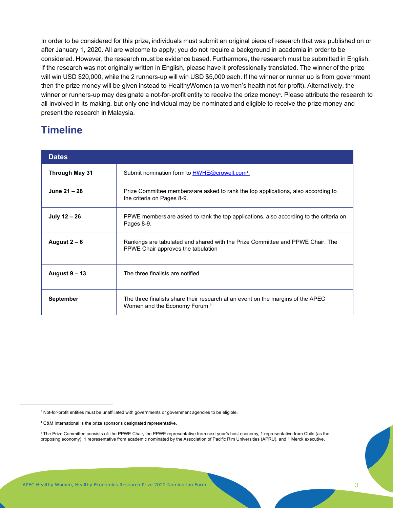In order to be considered for this prize, individuals must submit an original piece of research that was published on or after January 1, 2020. All are welcome to apply; you do not require a background in academia in order to be considered. However, the research must be evidence based. Furthermore, the research must be submitted in English. If the research was not originally written in English, please have it professionally translated. The winner of the prize will win USD \$20,000, while the 2 runners-up will win USD \$5,000 each. If the winner or runner up is from government then the prize money will be given instead to HealthyWomen (a women's health not-for-profit). Alternatively, the winner or runners-up may designate a not-for-profit entity to receive the prize money<sup>3</sup>. Please attribute the research to all involved in its making, but only one individual may be nominated and eligible to receive the prize money and present the research in Malaysia.

## **Timeline**

| <b>Dates</b>     |                                                                                                                              |
|------------------|------------------------------------------------------------------------------------------------------------------------------|
| Through May 31   | Submit nomination form to HWHE@crowell.com <sup>4</sup> .                                                                    |
| June 21 - 28     | Prize Committee members are asked to rank the top applications, also according to<br>the criteria on Pages 8-9.              |
| July 12 - 26     | PPWE members are asked to rank the top applications, also according to the criteria on<br>Pages 8-9.                         |
| August $2-6$     | Rankings are tabulated and shared with the Prize Committee and PPWE Chair. The<br>PPWE Chair approves the tabulation         |
| August 9 – 13    | The three finalists are notified.                                                                                            |
| <b>September</b> | The three finalists share their research at an event on the margins of the APEC<br>Women and the Economy Forum. <sup>6</sup> |

<sup>3</sup> Not-for-profit entities must be unaffiliated with governments or government agencies to be eligible.

<sup>&</sup>lt;sup>4</sup> C&M International is the prize sponsor's designated representative.

<sup>&</sup>lt;sup>5</sup> The Prize Committee consists of: the PPWE Chair, the PPWE representative from next year's host economy, 1 representative from Chile (as the proposing economy), 1 representative from academic nominated by the Association of Pacific Rim Universities (APRU), and 1 Merck executive.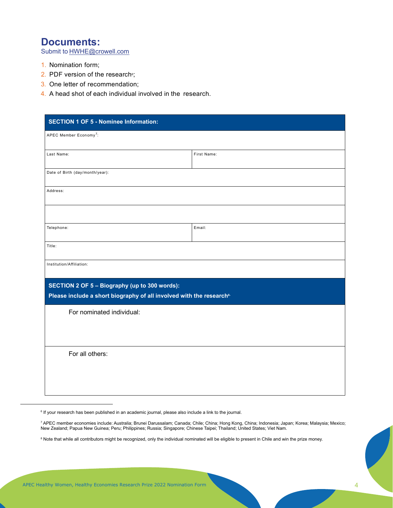### **Documents:**

Submit to **HWHE@crowell.com** 

- 1. Nomination form;
- 2. PDF version of the research<sup>®</sup>;
- 3. One letter of recommendation;
- 4. A head shot of each individual involved in the research.

| <b>SECTION 1 OF 5 - Nominee Information:</b>                                                                                      |             |  |  |  |
|-----------------------------------------------------------------------------------------------------------------------------------|-------------|--|--|--|
| APEC Member Economy <sup>7</sup> :                                                                                                |             |  |  |  |
| Last Name:                                                                                                                        | First Name: |  |  |  |
| Date of Birth (day/month/year):                                                                                                   |             |  |  |  |
| Address:                                                                                                                          |             |  |  |  |
|                                                                                                                                   |             |  |  |  |
| Telephone:                                                                                                                        | Email:      |  |  |  |
| Title:                                                                                                                            |             |  |  |  |
| Institution/Affiliation:                                                                                                          |             |  |  |  |
| SECTION 2 OF 5 - Biography (up to 300 words):<br>Please include a short biography of all involved with the research <sup>8.</sup> |             |  |  |  |
| For nominated individual:                                                                                                         |             |  |  |  |
|                                                                                                                                   |             |  |  |  |
| For all others:                                                                                                                   |             |  |  |  |
|                                                                                                                                   |             |  |  |  |
|                                                                                                                                   |             |  |  |  |

<sup>6</sup> If your research has been published in an academic journal, please also include a link to the journal.

<sup>7&</sup>lt;br>APEC member economies include: Australia; Brunei Darussalam; Canada; Chile; China; Hong Kong, China; Indonesia; Japan; Korea; Malaysia; Mexico; New Zealand; Papua New Guinea; Peru; Philippines; Russia; Singapore; Chinese Taipei; Thailand; United States; Viet Nam.<br>.

<sup>&</sup>lt;sup>8</sup> Note that while all contributors might be recognized, only the individual nominated will be eligible to present in Chile and win the prize money.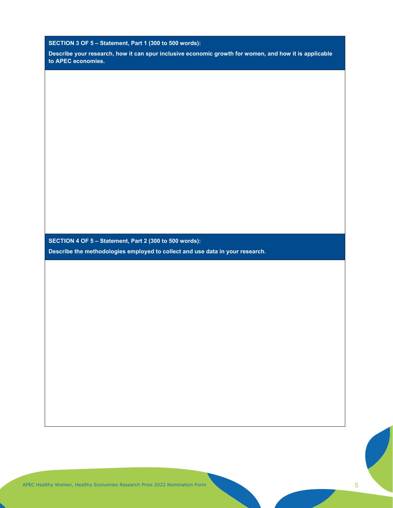**SECTION 3 OF 5 – Statement, Part 1 (300 to 500 words):** 

**Describe your research, how it can spur inclusive economic growth for women, and how it is applicable to APEC economies.**

**SECTION 4 OF 5 – Statement, Part 2 (300 to 500 words):**

**Describe the methodologies employed to collect and use data in your research.**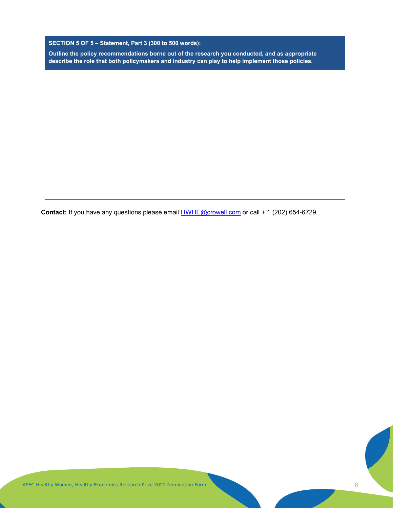**SECTION 5 OF 5 – Statement, Part 3 (300 to 500 words):**

**Outline the policy recommendations borne out of the research you conducted, and as appropriate describe the role that both policymakers and industry can play to help implement those policies.**

Contact: If you have any questions please email **HWHE@crowell.com** or call + 1 (202) 654-6729.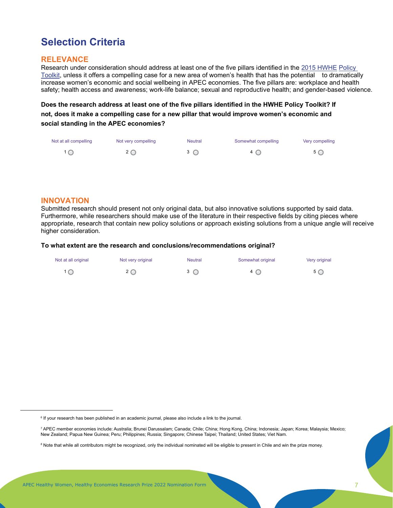## **Selection Criteria**

#### **RELEVANCE**

Research under consideration should address at least one of the five pillars identified in the 2015 HWHE Policy Toolkit, unless it offers a compelling case for a new area of women's health that has the potential to dramatically increase women's economic and social wellbeing in APEC economies. The five pillars are: workplace and health safety; health access and awareness; work-life balance; sexual and reproductive health; and gender-based violence.

**Does the research address at least one of the five pillars identified in the HWHE Policy Toolkit? If not, does it make a compelling case for a new pillar that would improve women's economic and social standing in the APEC economies?**

| Not at all compelling | Not very compelling | <b>Neutral</b> | Somewhat compelling | Very compelling |
|-----------------------|---------------------|----------------|---------------------|-----------------|
|                       |                     | $3^\circ$      | 4 C                 | $5^\circ$       |

#### **INNOVATION**

Submitted research should present not only original data, but also innovative solutions supported by said data. Furthermore, while researchers should make use of the literature in their respective fields by citing pieces where appropriate, research that contain new policy solutions or approach existing solutions from a unique angle will receive higher consideration.

#### **To what extent are the research and conclusions/recommendations original?**

| Not at all original | Not very original | <b>Neutral</b> | Somewhat original             | Very original |
|---------------------|-------------------|----------------|-------------------------------|---------------|
|                     | $2\bigcirc$       | $3^\circ$      | $\overline{4}$ $\overline{O}$ | $5^\circ$     |

<sup>6</sup> If your research has been published in an academic journal, please also include a link to the journal.

<sup>7</sup> APEC member economies include: Australia; Brunei Darussalam; Canada; Chile; China; Hong Kong, China; Indonesia; Japan; Korea; Malaysia; Mexico; New Zealand; Papua New Guinea; Peru; Philippines; Russia; Singapore; Chinese Taipei; Thailand; United States; Viet Nam.

<sup>&</sup>lt;sup>8</sup> Note that while all contributors might be recognized, only the individual nominated will be eligible to present in Chile and win the prize money.